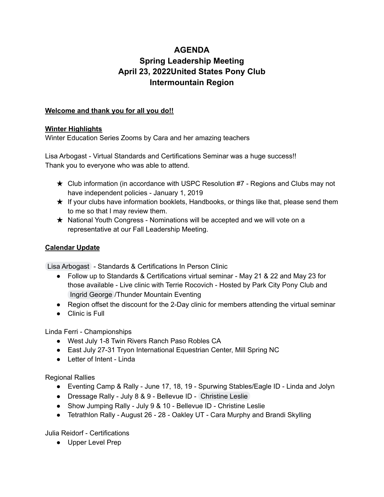# **AGENDA Spring Leadership Meeting April 23, 2022United States Pony Club Intermountain Region**

### **Welcome and thank you for all you do!!**

#### **Winter Highlights**

Winter Education Series Zooms by Cara and her amazing teachers

Lisa Arbogast - Virtual Standards and Certifications Seminar was a huge success!! Thank you to everyone who was able to attend.

- $\star$  Club information (in accordance with USPC Resolution #7 Regions and Clubs may not have independent policies - January 1, 2019
- ★ If your clubs have information booklets, Handbooks, or things like that, please send them to me so that I may review them.
- ★ National Youth Congress Nominations will be accepted and we will vote on a representative at our Fall Leadership Meeting.

## **Calendar Update**

Lisa [Arbogast](mailto:lisaa@ponyclub.org) - Standards & Certifications In Person Clinic

- Follow up to Standards & Certifications virtual seminar May 21 & 22 and May 23 for those available - Live clinic with Terrie Rocovich - Hosted by Park City Pony Club and Ingrid [George](mailto:ingrid.thundermountain@gmail.com) /Thunder Mountain Eventing
- Region offset the discount for the 2-Day clinic for members attending the virtual seminar
- Clinic is Full

Linda Ferri - Championships

- West July 1-8 Twin Rivers Ranch Paso Robles CA
- East July 27-31 Tryon International Equestrian Center, Mill Spring NC
- Letter of Intent Linda

Regional Rallies

- Eventing Camp & Rally June 17, 18, 19 Spurwing Stables/Eagle ID Linda and Jolyn
- Dressage Rally July 8 & 9 Bellevue ID [Christine](mailto:christineleslie@u.boisestate.edu) Leslie
- Show Jumping Rally July 9 & 10 Bellevue ID Christine Leslie
- Tetrathlon Rally August 26 28 Oakley UT Cara Murphy and Brandi Skylling

Julia Reidorf - Certifications

● Upper Level Prep